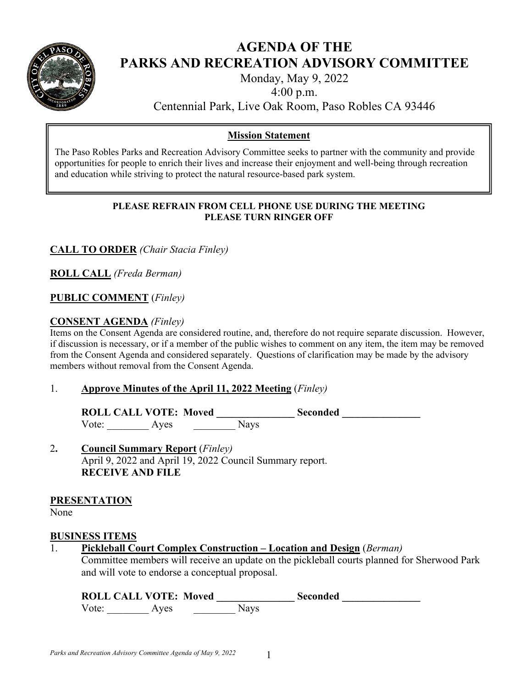

# **AGENDA OF THE PARKS AND RECREATION ADVISORY COMMITTEE**

Monday, May 9, 2022

4:00 p.m.

Centennial Park, Live Oak Room, Paso Robles CA 93446

## **Mission Statement**

The Paso Robles Parks and Recreation Advisory Committee seeks to partner with the community and provide opportunities for people to enrich their lives and increase their enjoyment and well-being through recreation and education while striving to protect the natural resource-based park system.

#### **PLEASE REFRAIN FROM CELL PHONE USE DURING THE MEETING PLEASE TURN RINGER OFF**

## **CALL TO ORDER** *(Chair Stacia Finley)*

**ROLL CALL** *(Freda Berman)* 

## **PUBLIC COMMENT** (*Finley)*

## **CONSENT AGENDA** *(Finley)*

Items on the Consent Agenda are considered routine, and, therefore do not require separate discussion. However, if discussion is necessary, or if a member of the public wishes to comment on any item, the item may be removed from the Consent Agenda and considered separately. Questions of clarification may be made by the advisory members without removal from the Consent Agenda.

#### 1. **Approve Minutes of the April 11, 2022 Meeting** (*Finley)*

ROLL CALL VOTE: Moved Seconded Vote: Ayes Nays

## 2**. Council Summary Report** (*Finley)* April 9, 2022 and April 19, 2022 Council Summary report. **RECEIVE AND FILE**

#### **PRESENTATION**

None

#### **BUSINESS ITEMS**

1. **Pickleball Court Complex Construction – Location and Design** (*Berman)* 

Committee members will receive an update on the pickleball courts planned for Sherwood Park and will vote to endorse a conceptual proposal.

| <b>ROLL CALL VOTE: Moved</b> |      | Seconded |  |
|------------------------------|------|----------|--|
| Vote:                        | Aves | Navs     |  |